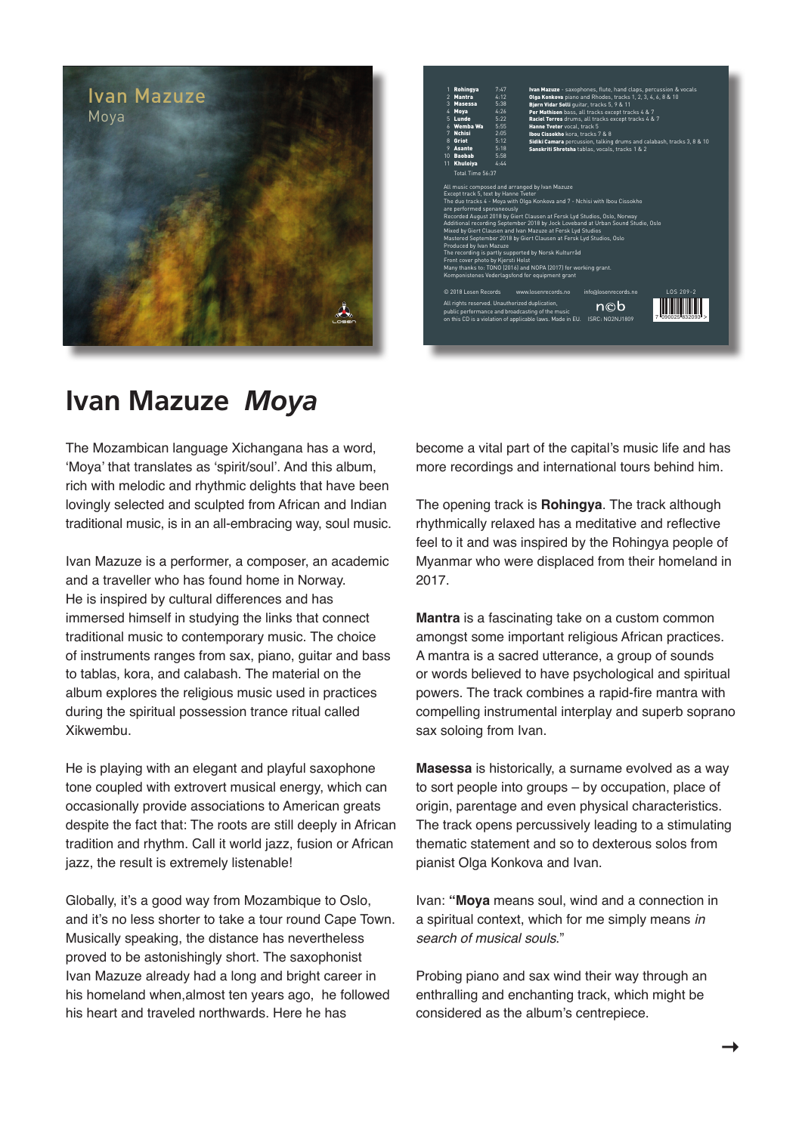



## **Ivan Mazuze** *Moya*

The Mozambican language Xichangana has a word, 'Moya' that translates as 'spirit/soul'. And this album, rich with melodic and rhythmic delights that have been lovingly selected and sculpted from African and Indian traditional music, is in an all-embracing way, soul music.

Ivan Mazuze is a performer, a composer, an academic and a traveller who has found home in Norway. He is inspired by cultural differences and has immersed himself in studying the links that connect traditional music to contemporary music. The choice of instruments ranges from sax, piano, guitar and bass to tablas, kora, and calabash. The material on the album explores the religious music used in practices during the spiritual possession trance ritual called Xikwembu.

He is playing with an elegant and playful saxophone tone coupled with extrovert musical energy, which can occasionally provide associations to American greats despite the fact that: The roots are still deeply in African tradition and rhythm. Call it world jazz, fusion or African jazz, the result is extremely listenable!

Globally, it's a good way from Mozambique to Oslo, and it's no less shorter to take a tour round Cape Town. Musically speaking, the distance has nevertheless proved to be astonishingly short. The saxophonist Ivan Mazuze already had a long and bright career in his homeland when,almost ten years ago, he followed his heart and traveled northwards. Here he has

become a vital part of the capital's music life and has more recordings and international tours behind him.

The opening track is **Rohingya**. The track although rhythmically relaxed has a meditative and reflective feel to it and was inspired by the Rohingya people of Myanmar who were displaced from their homeland in 2017.

**Mantra** is a fascinating take on a custom common amongst some important religious African practices. A mantra is a sacred utterance, a group of sounds or words believed to have psychological and spiritual powers. The track combines a rapid-fire mantra with compelling instrumental interplay and superb soprano sax soloing from Ivan.

**Masessa** is historically, a surname evolved as a way to sort people into groups – by occupation, place of origin, parentage and even physical characteristics. The track opens percussively leading to a stimulating thematic statement and so to dexterous solos from pianist Olga Konkova and Ivan.

Ivan: **"Moya** means soul, wind and a connection in a spiritual context, which for me simply means *in search of musical souls*."

Probing piano and sax wind their way through an enthralling and enchanting track, which might be considered as the album's centrepiece.